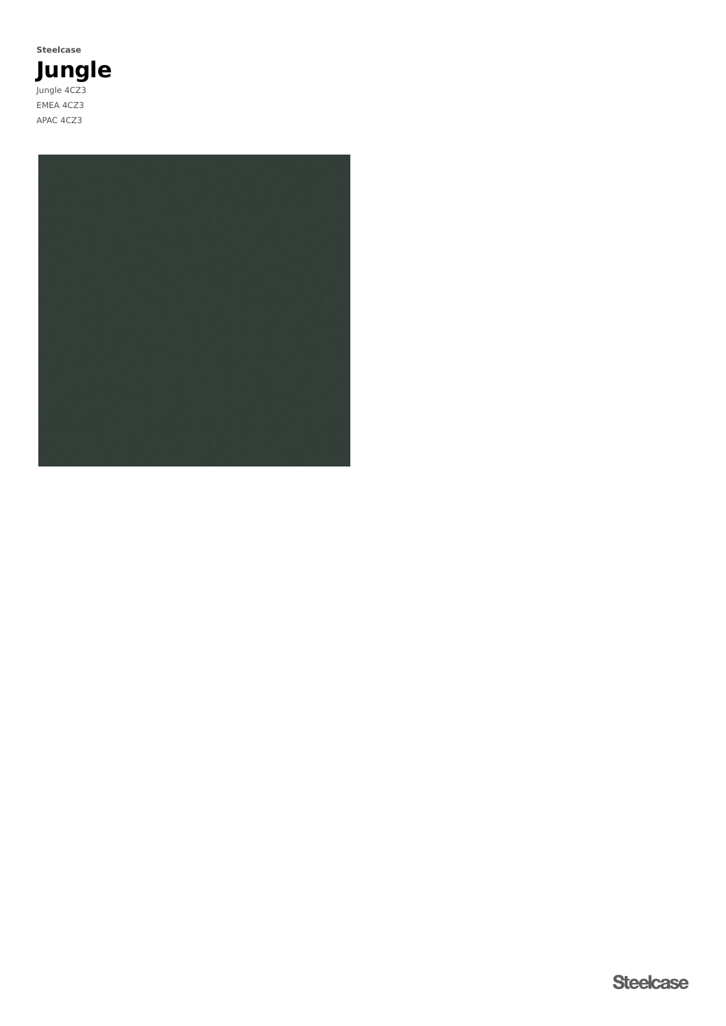**Jungle** Jungle 4CZ3 EMEA 4CZ3 APAC 4CZ3 **Steelcase**

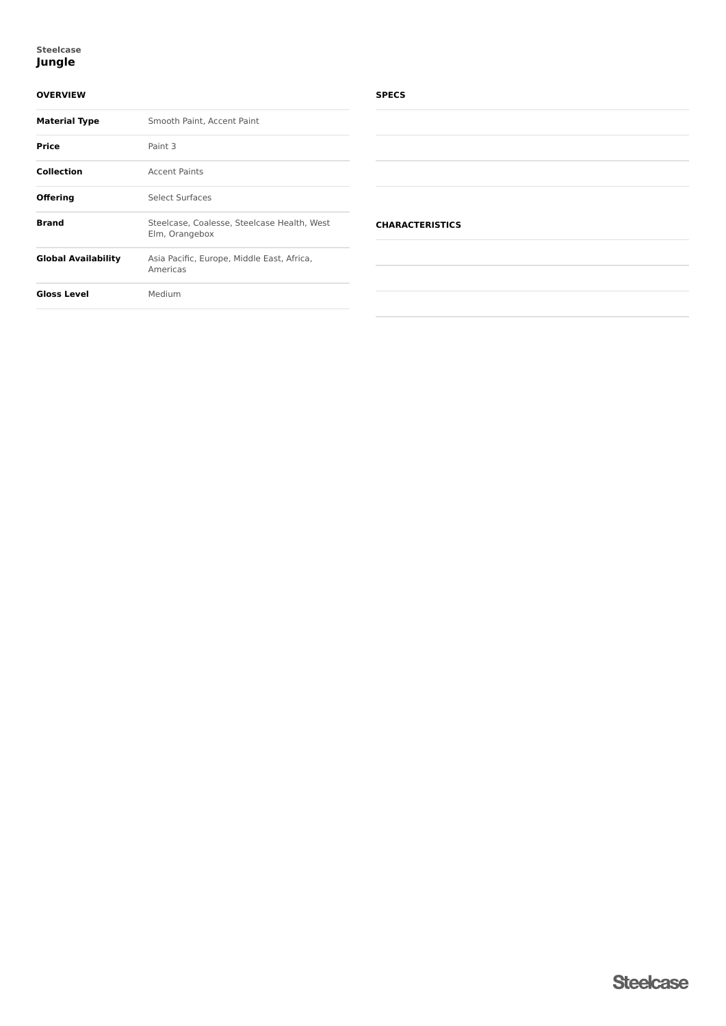## **Jungle Steelcase**

# **OVERVIEW**

| <b>Material Type</b> | Smooth Paint, Accent Paint                                    |  |  |
|----------------------|---------------------------------------------------------------|--|--|
| <b>Price</b>         | Paint 3                                                       |  |  |
| <b>Collection</b>    | <b>Accent Paints</b>                                          |  |  |
| <b>Offering</b>      | Select Surfaces                                               |  |  |
| <b>Brand</b>         | Steelcase, Coalesse, Steelcase Health, West<br>Elm, Orangebox |  |  |
| Global Availability  | Asia Pacific, Europe, Middle East, Africa,<br>Americas        |  |  |
| <b>Gloss Level</b>   | Medium                                                        |  |  |
|                      |                                                               |  |  |

## **SPECS**

| <b>CHARACTERISTICS</b> |  |  |
|------------------------|--|--|